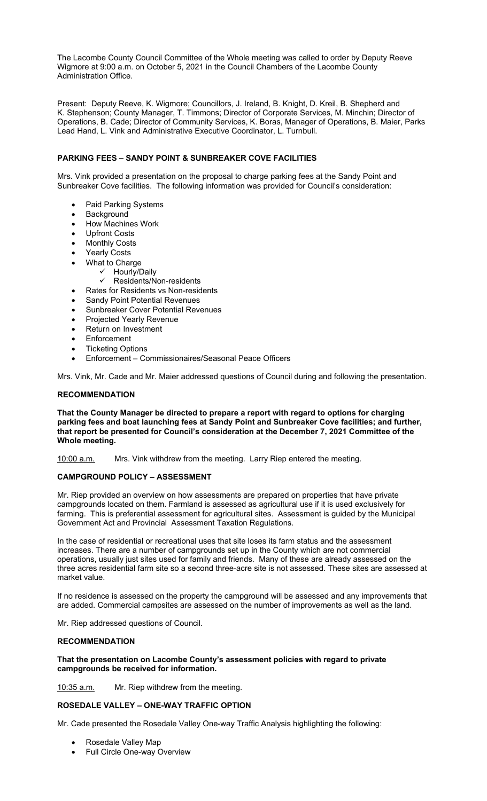The Lacombe County Council Committee of the Whole meeting was called to order by Deputy Reeve Wigmore at 9:00 a.m. on October 5, 2021 in the Council Chambers of the Lacombe County Administration Office.

Present: Deputy Reeve, K. Wigmore; Councillors, J. Ireland, B. Knight, D. Kreil, B. Shepherd and K. Stephenson; County Manager, T. Timmons; Director of Corporate Services, M. Minchin; Director of Operations, B. Cade; Director of Community Services, K. Boras, Manager of Operations, B. Maier, Parks Lead Hand, L. Vink and Administrative Executive Coordinator, L. Turnbull.

# **PARKING FEES – SANDY POINT & SUNBREAKER COVE FACILITIES**

Mrs. Vink provided a presentation on the proposal to charge parking fees at the Sandy Point and Sunbreaker Cove facilities. The following information was provided for Council's consideration:

- Paid Parking Systems
- **Background**
- How Machines Work
- Upfront Costs
- Monthly Costs
- Yearly Costs
- What to Charge
	- Hourly/Daily
	- $\checkmark$  Residents/Non-residents
	- Rates for Residents vs Non-residents
- Sandy Point Potential Revenues
- Sunbreaker Cover Potential Revenues
- Projected Yearly Revenue
- Return on Investment
- **Enforcement**
- Ticketing Options
- Enforcement Commissionaires/Seasonal Peace Officers

Mrs. Vink, Mr. Cade and Mr. Maier addressed questions of Council during and following the presentation.

### **RECOMMENDATION**

**That the County Manager be directed to prepare a report with regard to options for charging parking fees and boat launching fees at Sandy Point and Sunbreaker Cove facilities; and further, that report be presented for Council's consideration at the December 7, 2021 Committee of the Whole meeting.** 

10:00 a.m. Mrs. Vink withdrew from the meeting. Larry Riep entered the meeting.

### **CAMPGROUND POLICY – ASSESSMENT**

Mr. Riep provided an overview on how assessments are prepared on properties that have private campgrounds located on them. Farmland is assessed as agricultural use if it is used exclusively for farming. This is preferential assessment for agricultural sites. Assessment is guided by the Municipal Government Act and Provincial Assessment Taxation Regulations.

In the case of residential or recreational uses that site loses its farm status and the assessment increases. There are a number of campgrounds set up in the County which are not commercial operations, usually just sites used for family and friends. Many of these are already assessed on the three acres residential farm site so a second three-acre site is not assessed. These sites are assessed at market value.

If no residence is assessed on the property the campground will be assessed and any improvements that are added. Commercial campsites are assessed on the number of improvements as well as the land.

Mr. Riep addressed questions of Council.

### **RECOMMENDATION**

#### **That the presentation on Lacombe County's assessment policies with regard to private campgrounds be received for information.**

10:35 a.m. Mr. Riep withdrew from the meeting.

### **ROSEDALE VALLEY – ONE-WAY TRAFFIC OPTION**

Mr. Cade presented the Rosedale Valley One-way Traffic Analysis highlighting the following:

- Rosedale Valley Map
- Full Circle One-way Overview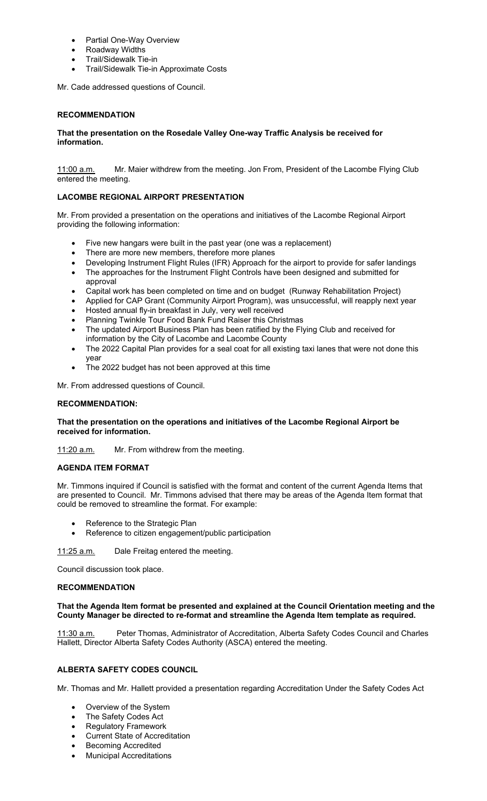- Partial One-Way Overview
- Roadway Widths
- Trail/Sidewalk Tie-in
- Trail/Sidewalk Tie-in Approximate Costs

Mr. Cade addressed questions of Council.

# **RECOMMENDATION**

# **That the presentation on the Rosedale Valley One-way Traffic Analysis be received for information.**

11:00 a.m. Mr. Maier withdrew from the meeting. Jon From, President of the Lacombe Flying Club entered the meeting.

# **LACOMBE REGIONAL AIRPORT PRESENTATION**

Mr. From provided a presentation on the operations and initiatives of the Lacombe Regional Airport providing the following information:

- Five new hangars were built in the past year (one was a replacement)
- There are more new members, therefore more planes
- Developing Instrument Flight Rules (IFR) Approach for the airport to provide for safer landings
- The approaches for the Instrument Flight Controls have been designed and submitted for approval
- Capital work has been completed on time and on budget (Runway Rehabilitation Project)
- Applied for CAP Grant (Community Airport Program), was unsuccessful, will reapply next year
- Hosted annual fly-in breakfast in July, very well received
- Planning Twinkle Tour Food Bank Fund Raiser this Christmas
- The updated Airport Business Plan has been ratified by the Flying Club and received for information by the City of Lacombe and Lacombe County
- The 2022 Capital Plan provides for a seal coat for all existing taxi lanes that were not done this year
- The 2022 budget has not been approved at this time

Mr. From addressed questions of Council.

# **RECOMMENDATION:**

### **That the presentation on the operations and initiatives of the Lacombe Regional Airport be received for information.**

11:20 a.m. Mr. From withdrew from the meeting.

### **AGENDA ITEM FORMAT**

Mr. Timmons inquired if Council is satisfied with the format and content of the current Agenda Items that are presented to Council. Mr. Timmons advised that there may be areas of the Agenda Item format that could be removed to streamline the format. For example:

- Reference to the Strategic Plan
- Reference to citizen engagement/public participation

11:25 a.m. Dale Freitag entered the meeting.

Council discussion took place.

### **RECOMMENDATION**

### **That the Agenda Item format be presented and explained at the Council Orientation meeting and the County Manager be directed to re-format and streamline the Agenda Item template as required.**

11:30 a.m. Peter Thomas, Administrator of Accreditation, Alberta Safety Codes Council and Charles Hallett, Director Alberta Safety Codes Authority (ASCA) entered the meeting.

### **ALBERTA SAFETY CODES COUNCIL**

Mr. Thomas and Mr. Hallett provided a presentation regarding Accreditation Under the Safety Codes Act

- Overview of the System
- The Safety Codes Act
- Regulatory Framework
- Current State of Accreditation
- Becoming Accredited
- Municipal Accreditations